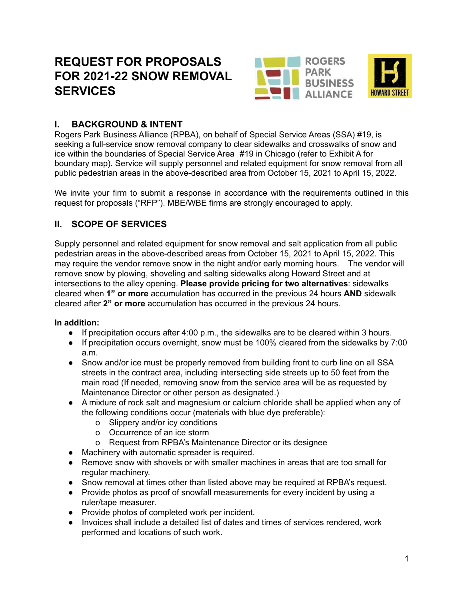# **REQUEST FOR PROPOSALS FOR 2021-22 SNOW REMOVAL SERVICES**





## **I. BACKGROUND & INTENT**

Rogers Park Business Alliance (RPBA), on behalf of Special Service Areas (SSA) #19, is seeking a full-service snow removal company to clear sidewalks and crosswalks of snow and ice within the boundaries of Special Service Area #19 in Chicago (refer to Exhibit A for boundary map). Service will supply personnel and related equipment for snow removal from all public pedestrian areas in the above-described area from October 15, 2021 to April 15, 2022.

We invite your firm to submit a response in accordance with the requirements outlined in this request for proposals ("RFP"). MBE/WBE firms are strongly encouraged to apply.

# **II. SCOPE OF SERVICES**

Supply personnel and related equipment for snow removal and salt application from all public pedestrian areas in the above-described areas from October 15, 2021 to April 15, 2022. This may require the vendor remove snow in the night and/or early morning hours. The vendor will remove snow by plowing, shoveling and salting sidewalks along Howard Street and at intersections to the alley opening. **Please provide pricing for two alternatives**: sidewalks cleared when **1" or more** accumulation has occurred in the previous 24 hours **AND** sidewalk cleared after **2" or more** accumulation has occurred in the previous 24 hours.

## **In addition:**

- If precipitation occurs after 4:00 p.m., the sidewalks are to be cleared within 3 hours.
- If precipitation occurs overnight, snow must be 100% cleared from the sidewalks by 7:00 a.m.
- Snow and/or ice must be properly removed from building front to curb line on all SSA streets in the contract area, including intersecting side streets up to 50 feet from the main road (If needed, removing snow from the service area will be as requested by Maintenance Director or other person as designated.)
- A mixture of rock salt and magnesium or calcium chloride shall be applied when any of the following conditions occur (materials with blue dye preferable):
	- o Slippery and/or icy conditions
	- o Occurrence of an ice storm
	- o Request from RPBA's Maintenance Director or its designee
- Machinery with automatic spreader is required.
- Remove snow with shovels or with smaller machines in areas that are too small for regular machinery.
- Snow removal at times other than listed above may be required at RPBA's request.
- Provide photos as proof of snowfall measurements for every incident by using a ruler/tape measurer.
- Provide photos of completed work per incident.
- Invoices shall include a detailed list of dates and times of services rendered, work performed and locations of such work.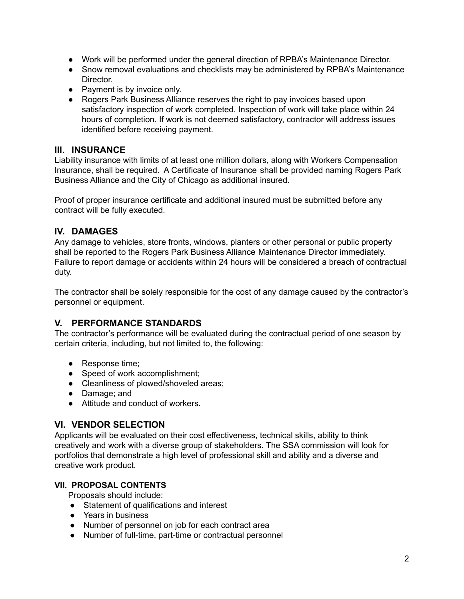- Work will be performed under the general direction of RPBA's Maintenance Director.
- Snow removal evaluations and checklists may be administered by RPBA's Maintenance Director.
- Payment is by invoice only.
- Rogers Park Business Alliance reserves the right to pay invoices based upon satisfactory inspection of work completed. Inspection of work will take place within 24 hours of completion. If work is not deemed satisfactory, contractor will address issues identified before receiving payment.

#### **III. INSURANCE**

Liability insurance with limits of at least one million dollars, along with Workers Compensation Insurance, shall be required. A Certificate of Insurance shall be provided naming Rogers Park Business Alliance and the City of Chicago as additional insured.

Proof of proper insurance certificate and additional insured must be submitted before any contract will be fully executed.

## **IV. DAMAGES**

Any damage to vehicles, store fronts, windows, planters or other personal or public property shall be reported to the Rogers Park Business Alliance Maintenance Director immediately. Failure to report damage or accidents within 24 hours will be considered a breach of contractual duty.

The contractor shall be solely responsible for the cost of any damage caused by the contractor's personnel or equipment.

## **V. PERFORMANCE STANDARDS**

The contractor's performance will be evaluated during the contractual period of one season by certain criteria, including, but not limited to, the following:

- Response time;
- Speed of work accomplishment;
- Cleanliness of plowed/shoveled areas;
- Damage; and
- Attitude and conduct of workers.

## **VI. VENDOR SELECTION**

Applicants will be evaluated on their cost effectiveness, technical skills, ability to think creatively and work with a diverse group of stakeholders. The SSA commission will look for portfolios that demonstrate a high level of professional skill and ability and a diverse and creative work product.

## **VII. PROPOSAL CONTENTS**

Proposals should include:

- Statement of qualifications and interest
- Years in business
- Number of personnel on job for each contract area
- Number of full-time, part-time or contractual personnel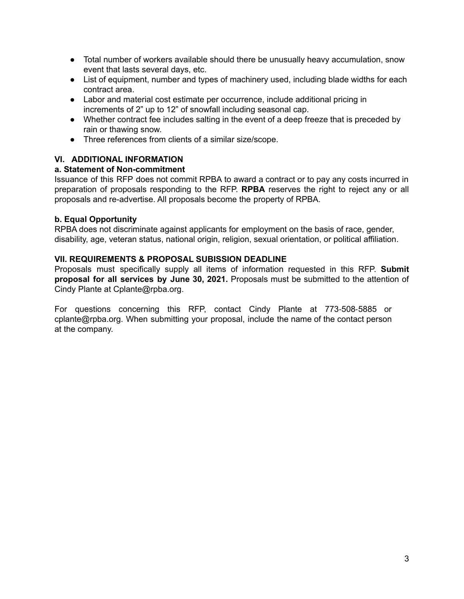- Total number of workers available should there be unusually heavy accumulation, snow event that lasts several days, etc.
- List of equipment, number and types of machinery used, including blade widths for each contract area.
- Labor and material cost estimate per occurrence, include additional pricing in increments of 2" up to 12" of snowfall including seasonal cap.
- Whether contract fee includes salting in the event of a deep freeze that is preceded by rain or thawing snow.
- Three references from clients of a similar size/scope.

#### **VI. ADDITIONAL INFORMATION**

#### **a. Statement of Non-commitment**

Issuance of this RFP does not commit RPBA to award a contract or to pay any costs incurred in preparation of proposals responding to the RFP. **RPBA** reserves the right to reject any or all proposals and re-advertise. All proposals become the property of RPBA.

#### **b. Equal Opportunity**

RPBA does not discriminate against applicants for employment on the basis of race, gender, disability, age, veteran status, national origin, religion, sexual orientation, or political affiliation.

#### **VII. REQUIREMENTS & PROPOSAL SUBISSION DEADLINE**

Proposals must specifically supply all items of information requested in this RFP. **Submit proposal for all services by June 30, 2021.** Proposals must be submitted to the attention of Cindy Plante at Cplante@rpba.org.

For questions concerning this RFP, contact Cindy Plante at 773‐508‐5885 or cplante@rpba.org. When submitting your proposal, include the name of the contact person at the company.